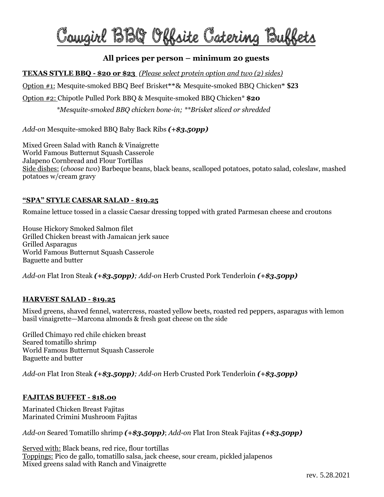# Caugirl BBQ Offsite Catering Buffet

# **All prices per person – minimum 20 guests**

**TEXAS STYLE BBQ - \$20 or \$23** *(Please select protein option and two (2) sides)*

Option #1: Mesquite-smoked BBQ Beef Brisket\*\*& Mesquite-smoked BBQ Chicken\* **\$23**

Option #2: Chipotle Pulled Pork BBQ & Mesquite-smoked BBQ Chicken\* **\$20**

*\*Mesquite-smoked BBQ chicken bone-in; \*\*Brisket sliced or shredded*

*Add-on* Mesquite-smoked BBQ Baby Back Ribs *(+\$3.50pp)*

Mixed Green Salad with Ranch & Vinaigrette World Famous Butternut Squash Casserole Jalapeno Cornbread and Flour Tortillas Side dishes: (*choose two*) Barbeque beans, black beans, scalloped potatoes, potato salad, coleslaw, mashed potatoes w/cream gravy

#### **"SPA" STYLE CAESAR SALAD - \$19.25**

Romaine lettuce tossed in a classic Caesar dressing topped with grated Parmesan cheese and croutons

House Hickory Smoked Salmon filet Grilled Chicken breast with Jamaican jerk sauce Grilled Asparagus World Famous Butternut Squash Casserole Baguette and butter

*Add-on* Flat Iron Steak *(+\$3.50pp); Add-on* Herb Crusted Pork Tenderloin *(+\$3.50pp)*

#### **HARVEST SALAD - \$19.25**

Mixed greens, shaved fennel, watercress, roasted yellow beets, roasted red peppers, asparagus with lemon basil vinaigrette—Marcona almonds & fresh goat cheese on the side

Grilled Chimayo red chile chicken breast Seared tomatillo shrimp World Famous Butternut Squash Casserole Baguette and butter

*Add-on* Flat Iron Steak *(+\$3.50pp); Add-on* Herb Crusted Pork Tenderloin *(+\$3.50pp)*

#### **FAJITAS BUFFET - \$18.00**

Marinated Chicken Breast Fajitas Marinated Crimini Mushroom Fajitas

*Add-on* Seared Tomatillo shrimp *(+\$3.50pp)*; *Add-on* Flat Iron Steak Fajitas *(+\$3.50pp)*

Served with: Black beans, red rice, flour tortillas Toppings: Pico de gallo, tomatillo salsa, jack cheese, sour cream, pickled jalapenos Mixed greens salad with Ranch and Vinaigrette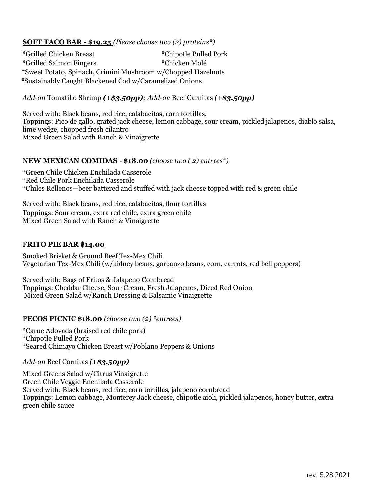## **SOFT TACO BAR - \$19.25** *(Please choose two (2) proteins\*)*

\*Grilled Chicken Breast \*Chipotle Pulled Pork \*Grilled Salmon Fingers \*Chicken Molé \*S \*Sweet Potato, Spinach, Crimini Mushroom w/Chopped Hazelnuts \*\* \*Sustainably Caught Blackened Cod w/Caramelized Onions

#### *Add-on* Tomatillo Shrimp *(+\$3.50pp); Add*-*on* Beef Carnitas *(+\$3.50pp)*

Served with: Black beans, red rice, calabacitas, corn tortillas, Toppings: Pico de gallo, grated jack cheese, lemon cabbage, sour cream, pickled jalapenos, diablo salsa, lime wedge, chopped fresh cilantro Mixed Green Salad with Ranch & Vinaigrette

#### **NEW MEXICAN COMIDAS - \$18.00** *(choose two ( 2) entrees\*)*

\*Green Chile Chicken Enchilada Casserole \*Red Chile Pork Enchilada Casserole \*Chiles Rellenos—beer battered and stuffed with jack cheese topped with red & green chile

Served with: Black beans, red rice, calabacitas, flour tortillas Toppings: Sour cream, extra red chile, extra green chile Mixed Green Salad with Ranch & Vinaigrette

#### **FRITO PIE BAR \$14.00**

Smoked Brisket & Ground Beef Tex-Mex Chili Vegetarian Tex-Mex Chili (w/kidney beans, garbanzo beans, corn, carrots, red bell peppers)

Served with: Bags of Fritos & Jalapeno Cornbread Toppings: Cheddar Cheese, Sour Cream, Fresh Jalapenos, Diced Red Onion Mixed Green Salad w/Ranch Dressing & Balsamic Vinaigrette

#### **PECOS PICNIC \$18.00** *(choose two (2) \*entrees)*

\*Carne Adovada (braised red chile pork) \*Chipotle Pulled Pork \*Seared Chimayo Chicken Breast w/Poblano Peppers & Onions

#### *Add-on* Beef Carnitas *(+\$3.50pp)*

Mixed Greens Salad w/Citrus Vinaigrette Green Chile Veggie Enchilada Casserole Served with: Black beans, red rice, corn tortillas, jalapeno cornbread Toppings: Lemon cabbage, Monterey Jack cheese, chipotle aioli, pickled jalapenos, honey butter, extra green chile sauce